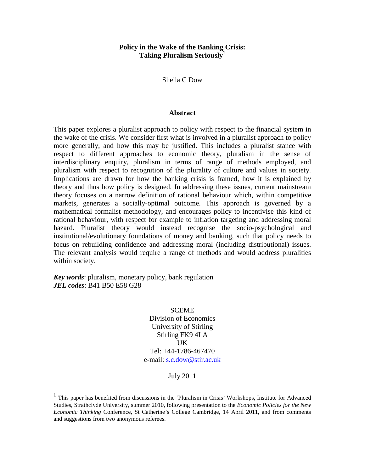# **Policy in the Wake of the Banking Crisis: Taking Pluralism Seriously<sup>1</sup>**

Sheila C Dow

#### **Abstract**

This paper explores a pluralist approach to policy with respect to the financial system in the wake of the crisis. We consider first what is involved in a pluralist approach to policy more generally, and how this may be justified. This includes a pluralist stance with respect to different approaches to economic theory, pluralism in the sense of interdisciplinary enquiry, pluralism in terms of range of methods employed, and pluralism with respect to recognition of the plurality of culture and values in society. Implications are drawn for how the banking crisis is framed, how it is explained by theory and thus how policy is designed. In addressing these issues, current mainstream theory focuses on a narrow definition of rational behaviour which, within competitive markets, generates a socially-optimal outcome. This approach is governed by a mathematical formalist methodology, and encourages policy to incentivise this kind of rational behaviour, with respect for example to inflation targeting and addressing moral hazard. Pluralist theory would instead recognise the socio-psychological and institutional/evolutionary foundations of money and banking, such that policy needs to focus on rebuilding confidence and addressing moral (including distributional) issues. The relevant analysis would require a range of methods and would address pluralities within society.

*Key words*: pluralism, monetary policy, bank regulation *JEL codes*: B41 B50 E58 G28

 $\overline{a}$ 

**SCEME** Division of Economics University of Stirling Stirling FK9 4LA UK Tel: +44-1786-467470 e-mail: s.c.dow@stir.ac.uk

July 2011

<sup>1</sup> This paper has benefited from discussions in the 'Pluralism in Crisis' Workshops, Institute for Advanced Studies, Strathclyde University, summer 2010, following presentation to the *Economic Policies for the New Economic Thinking* Conference, St Catherine's College Cambridge, 14 April 2011, and from comments and suggestions from two anonymous referees.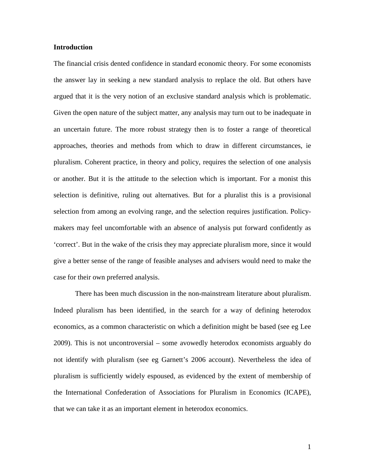## **Introduction**

The financial crisis dented confidence in standard economic theory. For some economists the answer lay in seeking a new standard analysis to replace the old. But others have argued that it is the very notion of an exclusive standard analysis which is problematic. Given the open nature of the subject matter, any analysis may turn out to be inadequate in an uncertain future. The more robust strategy then is to foster a range of theoretical approaches, theories and methods from which to draw in different circumstances, ie pluralism. Coherent practice, in theory and policy, requires the selection of one analysis or another. But it is the attitude to the selection which is important. For a monist this selection is definitive, ruling out alternatives. But for a pluralist this is a provisional selection from among an evolving range, and the selection requires justification. Policymakers may feel uncomfortable with an absence of analysis put forward confidently as 'correct'. But in the wake of the crisis they may appreciate pluralism more, since it would give a better sense of the range of feasible analyses and advisers would need to make the case for their own preferred analysis.

 There has been much discussion in the non-mainstream literature about pluralism. Indeed pluralism has been identified, in the search for a way of defining heterodox economics, as a common characteristic on which a definition might be based (see eg Lee 2009). This is not uncontroversial – some avowedly heterodox economists arguably do not identify with pluralism (see eg Garnett's 2006 account). Nevertheless the idea of pluralism is sufficiently widely espoused, as evidenced by the extent of membership of the International Confederation of Associations for Pluralism in Economics (ICAPE), that we can take it as an important element in heterodox economics.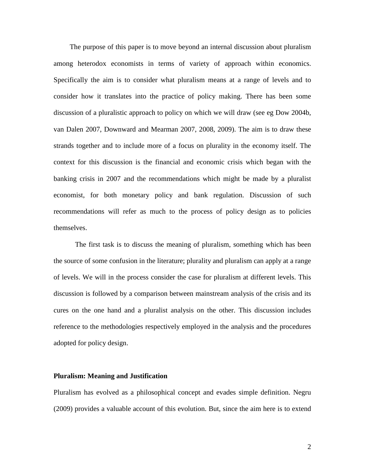The purpose of this paper is to move beyond an internal discussion about pluralism among heterodox economists in terms of variety of approach within economics. Specifically the aim is to consider what pluralism means at a range of levels and to consider how it translates into the practice of policy making. There has been some discussion of a pluralistic approach to policy on which we will draw (see eg Dow 2004b, van Dalen 2007, Downward and Mearman 2007, 2008, 2009). The aim is to draw these strands together and to include more of a focus on plurality in the economy itself. The context for this discussion is the financial and economic crisis which began with the banking crisis in 2007 and the recommendations which might be made by a pluralist economist, for both monetary policy and bank regulation. Discussion of such recommendations will refer as much to the process of policy design as to policies themselves.

 The first task is to discuss the meaning of pluralism, something which has been the source of some confusion in the literature; plurality and pluralism can apply at a range of levels. We will in the process consider the case for pluralism at different levels. This discussion is followed by a comparison between mainstream analysis of the crisis and its cures on the one hand and a pluralist analysis on the other. This discussion includes reference to the methodologies respectively employed in the analysis and the procedures adopted for policy design.

### **Pluralism: Meaning and Justification**

Pluralism has evolved as a philosophical concept and evades simple definition. Negru (2009) provides a valuable account of this evolution. But, since the aim here is to extend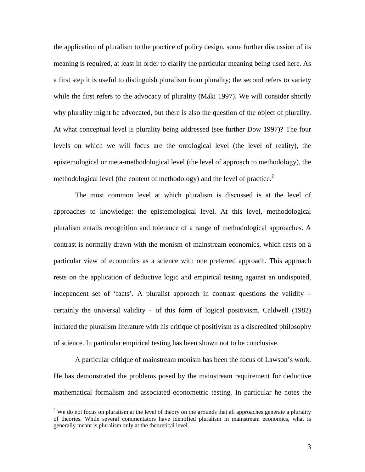the application of pluralism to the practice of policy design, some further discussion of its meaning is required, at least in order to clarify the particular meaning being used here. As a first step it is useful to distinguish pluralism from plurality; the second refers to variety while the first refers to the advocacy of plurality (Mäki 1997). We will consider shortly why plurality might be advocated, but there is also the question of the object of plurality. At what conceptual level is plurality being addressed (see further Dow 1997)? The four levels on which we will focus are the ontological level (the level of reality), the epistemological or meta-methodological level (the level of approach to methodology), the methodological level (the content of methodology) and the level of practice. $2$ 

 The most common level at which pluralism is discussed is at the level of approaches to knowledge: the epistemological level. At this level, methodological pluralism entails recognition and tolerance of a range of methodological approaches. A contrast is normally drawn with the monism of mainstream economics, which rests on a particular view of economics as a science with one preferred approach. This approach rests on the application of deductive logic and empirical testing against an undisputed, independent set of 'facts'. A pluralist approach in contrast questions the validity – certainly the universal validity – of this form of logical positivism. Caldwell (1982) initiated the pluralism literature with his critique of positivism as a discredited philosophy of science. In particular empirical testing has been shown not to be conclusive.

 A particular critique of mainstream monism has been the focus of Lawson's work. He has demonstrated the problems posed by the mainstream requirement for deductive mathematical formalism and associated econometric testing. In particular he notes the

 $\overline{a}$ 

 $2$  We do not focus on pluralism at the level of theory on the grounds that all approaches generate a plurality of theories. While several commentators have identified pluralism in mainstream economics, what is generally meant is pluralism only at the theoretical level.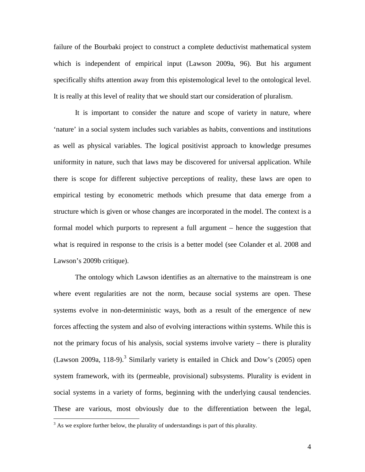failure of the Bourbaki project to construct a complete deductivist mathematical system which is independent of empirical input (Lawson 2009a, 96). But his argument specifically shifts attention away from this epistemological level to the ontological level. It is really at this level of reality that we should start our consideration of pluralism.

 It is important to consider the nature and scope of variety in nature, where 'nature' in a social system includes such variables as habits, conventions and institutions as well as physical variables. The logical positivist approach to knowledge presumes uniformity in nature, such that laws may be discovered for universal application. While there is scope for different subjective perceptions of reality, these laws are open to empirical testing by econometric methods which presume that data emerge from a structure which is given or whose changes are incorporated in the model. The context is a formal model which purports to represent a full argument – hence the suggestion that what is required in response to the crisis is a better model (see Colander et al. 2008 and Lawson's 2009b critique).

 The ontology which Lawson identifies as an alternative to the mainstream is one where event regularities are not the norm, because social systems are open. These systems evolve in non-deterministic ways, both as a result of the emergence of new forces affecting the system and also of evolving interactions within systems. While this is not the primary focus of his analysis, social systems involve variety – there is plurality (Lawson 2009a, 118-9).<sup>3</sup> Similarly variety is entailed in Chick and Dow's (2005) open system framework, with its (permeable, provisional) subsystems. Plurality is evident in social systems in a variety of forms, beginning with the underlying causal tendencies. These are various, most obviously due to the differentiation between the legal,

 $\overline{a}$ 

 $3$  As we explore further below, the plurality of understandings is part of this plurality.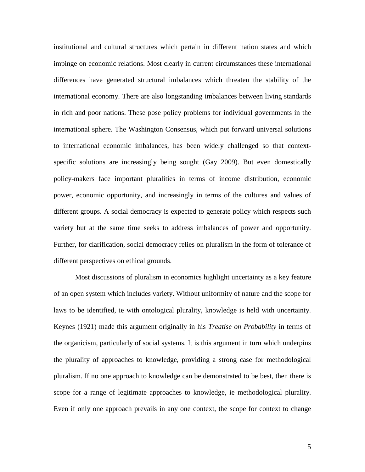institutional and cultural structures which pertain in different nation states and which impinge on economic relations. Most clearly in current circumstances these international differences have generated structural imbalances which threaten the stability of the international economy. There are also longstanding imbalances between living standards in rich and poor nations. These pose policy problems for individual governments in the international sphere. The Washington Consensus, which put forward universal solutions to international economic imbalances, has been widely challenged so that contextspecific solutions are increasingly being sought (Gay 2009). But even domestically policy-makers face important pluralities in terms of income distribution, economic power, economic opportunity, and increasingly in terms of the cultures and values of different groups. A social democracy is expected to generate policy which respects such variety but at the same time seeks to address imbalances of power and opportunity. Further, for clarification, social democracy relies on pluralism in the form of tolerance of different perspectives on ethical grounds.

 Most discussions of pluralism in economics highlight uncertainty as a key feature of an open system which includes variety. Without uniformity of nature and the scope for laws to be identified, ie with ontological plurality, knowledge is held with uncertainty. Keynes (1921) made this argument originally in his *Treatise on Probability* in terms of the organicism, particularly of social systems. It is this argument in turn which underpins the plurality of approaches to knowledge, providing a strong case for methodological pluralism. If no one approach to knowledge can be demonstrated to be best, then there is scope for a range of legitimate approaches to knowledge, ie methodological plurality. Even if only one approach prevails in any one context, the scope for context to change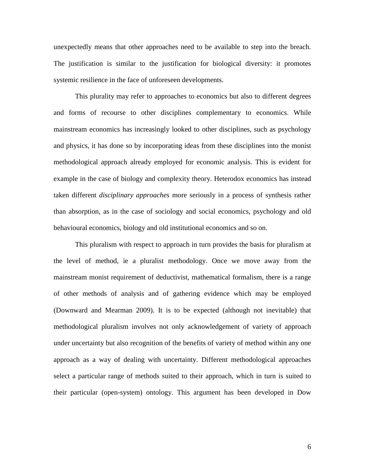unexpectedly means that other approaches need to be available to step into the breach. The justification is similar to the justification for biological diversity: it promotes systemic resilience in the face of unforeseen developments.

 This plurality may refer to approaches to economics but also to different degrees and forms of recourse to other disciplines complementary to economics. While mainstream economics has increasingly looked to other disciplines, such as psychology and physics, it has done so by incorporating ideas from these disciplines into the monist methodological approach already employed for economic analysis. This is evident for example in the case of biology and complexity theory. Heterodox economics has instead taken different *disciplinary approaches* more seriously in a process of synthesis rather than absorption, as in the case of sociology and social economics, psychology and old behavioural economics, biology and old institutional economics and so on.

 This pluralism with respect to approach in turn provides the basis for pluralism at the level of method, ie a pluralist methodology. Once we move away from the mainstream monist requirement of deductivist, mathematical formalism, there is a range of other methods of analysis and of gathering evidence which may be employed (Downward and Mearman 2009). It is to be expected (although not inevitable) that methodological pluralism involves not only acknowledgement of variety of approach under uncertainty but also recognition of the benefits of variety of method within any one approach as a way of dealing with uncertainty. Different methodological approaches select a particular range of methods suited to their approach, which in turn is suited to their particular (open-system) ontology. This argument has been developed in Dow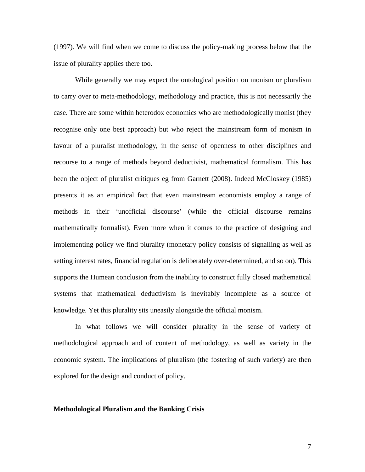(1997). We will find when we come to discuss the policy-making process below that the issue of plurality applies there too.

 While generally we may expect the ontological position on monism or pluralism to carry over to meta-methodology, methodology and practice, this is not necessarily the case. There are some within heterodox economics who are methodologically monist (they recognise only one best approach) but who reject the mainstream form of monism in favour of a pluralist methodology, in the sense of openness to other disciplines and recourse to a range of methods beyond deductivist, mathematical formalism. This has been the object of pluralist critiques eg from Garnett (2008). Indeed McCloskey (1985) presents it as an empirical fact that even mainstream economists employ a range of methods in their 'unofficial discourse' (while the official discourse remains mathematically formalist). Even more when it comes to the practice of designing and implementing policy we find plurality (monetary policy consists of signalling as well as setting interest rates, financial regulation is deliberately over-determined, and so on). This supports the Humean conclusion from the inability to construct fully closed mathematical systems that mathematical deductivism is inevitably incomplete as a source of knowledge. Yet this plurality sits uneasily alongside the official monism.

 In what follows we will consider plurality in the sense of variety of methodological approach and of content of methodology, as well as variety in the economic system. The implications of pluralism (the fostering of such variety) are then explored for the design and conduct of policy.

#### **Methodological Pluralism and the Banking Crisis**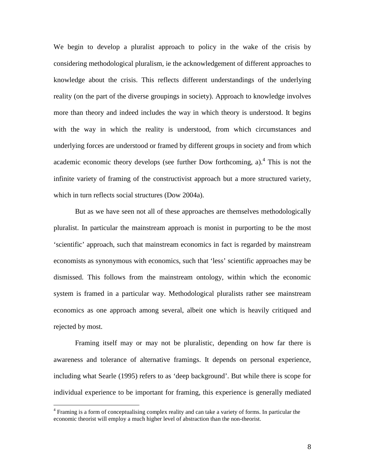We begin to develop a pluralist approach to policy in the wake of the crisis by considering methodological pluralism, ie the acknowledgement of different approaches to knowledge about the crisis. This reflects different understandings of the underlying reality (on the part of the diverse groupings in society). Approach to knowledge involves more than theory and indeed includes the way in which theory is understood. It begins with the way in which the reality is understood, from which circumstances and underlying forces are understood or framed by different groups in society and from which academic economic theory develops (see further Dow forthcoming,  $a$ ).<sup>4</sup> This is not the infinite variety of framing of the constructivist approach but a more structured variety, which in turn reflects social structures (Dow 2004a).

 But as we have seen not all of these approaches are themselves methodologically pluralist. In particular the mainstream approach is monist in purporting to be the most 'scientific' approach, such that mainstream economics in fact is regarded by mainstream economists as synonymous with economics, such that 'less' scientific approaches may be dismissed. This follows from the mainstream ontology, within which the economic system is framed in a particular way. Methodological pluralists rather see mainstream economics as one approach among several, albeit one which is heavily critiqued and rejected by most.

 Framing itself may or may not be pluralistic, depending on how far there is awareness and tolerance of alternative framings. It depends on personal experience, including what Searle (1995) refers to as 'deep background'. But while there is scope for individual experience to be important for framing, this experience is generally mediated

 $\overline{a}$ 

<sup>&</sup>lt;sup>4</sup> Framing is a form of conceptualising complex reality and can take a variety of forms. In particular the economic theorist will employ a much higher level of abstraction than the non-theorist.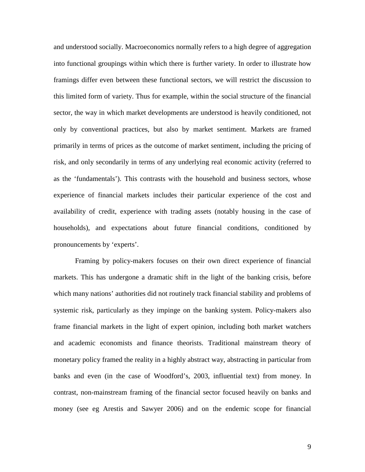and understood socially. Macroeconomics normally refers to a high degree of aggregation into functional groupings within which there is further variety. In order to illustrate how framings differ even between these functional sectors, we will restrict the discussion to this limited form of variety. Thus for example, within the social structure of the financial sector, the way in which market developments are understood is heavily conditioned, not only by conventional practices, but also by market sentiment. Markets are framed primarily in terms of prices as the outcome of market sentiment, including the pricing of risk, and only secondarily in terms of any underlying real economic activity (referred to as the 'fundamentals'). This contrasts with the household and business sectors, whose experience of financial markets includes their particular experience of the cost and availability of credit, experience with trading assets (notably housing in the case of households), and expectations about future financial conditions, conditioned by pronouncements by 'experts'.

 Framing by policy-makers focuses on their own direct experience of financial markets. This has undergone a dramatic shift in the light of the banking crisis, before which many nations' authorities did not routinely track financial stability and problems of systemic risk, particularly as they impinge on the banking system. Policy-makers also frame financial markets in the light of expert opinion, including both market watchers and academic economists and finance theorists. Traditional mainstream theory of monetary policy framed the reality in a highly abstract way, abstracting in particular from banks and even (in the case of Woodford's, 2003, influential text) from money. In contrast, non-mainstream framing of the financial sector focused heavily on banks and money (see eg Arestis and Sawyer 2006) and on the endemic scope for financial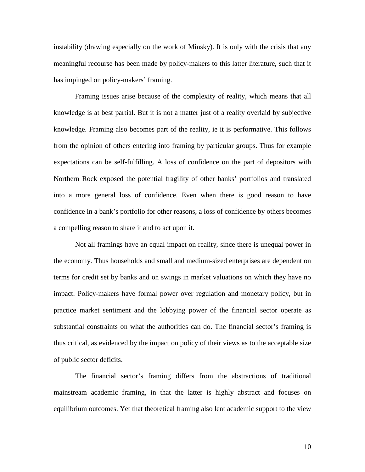instability (drawing especially on the work of Minsky). It is only with the crisis that any meaningful recourse has been made by policy-makers to this latter literature, such that it has impinged on policy-makers' framing.

 Framing issues arise because of the complexity of reality, which means that all knowledge is at best partial. But it is not a matter just of a reality overlaid by subjective knowledge. Framing also becomes part of the reality, ie it is performative. This follows from the opinion of others entering into framing by particular groups. Thus for example expectations can be self-fulfilling. A loss of confidence on the part of depositors with Northern Rock exposed the potential fragility of other banks' portfolios and translated into a more general loss of confidence. Even when there is good reason to have confidence in a bank's portfolio for other reasons, a loss of confidence by others becomes a compelling reason to share it and to act upon it.

 Not all framings have an equal impact on reality, since there is unequal power in the economy. Thus households and small and medium-sized enterprises are dependent on terms for credit set by banks and on swings in market valuations on which they have no impact. Policy-makers have formal power over regulation and monetary policy, but in practice market sentiment and the lobbying power of the financial sector operate as substantial constraints on what the authorities can do. The financial sector's framing is thus critical, as evidenced by the impact on policy of their views as to the acceptable size of public sector deficits.

 The financial sector's framing differs from the abstractions of traditional mainstream academic framing, in that the latter is highly abstract and focuses on equilibrium outcomes. Yet that theoretical framing also lent academic support to the view

10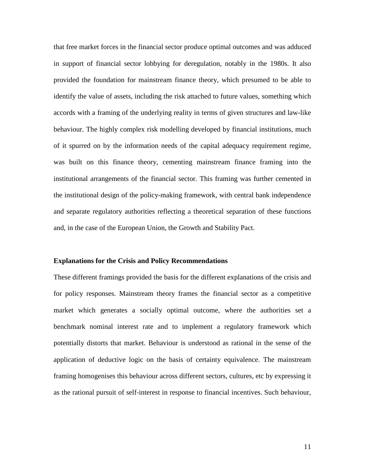that free market forces in the financial sector produce optimal outcomes and was adduced in support of financial sector lobbying for deregulation, notably in the 1980s. It also provided the foundation for mainstream finance theory, which presumed to be able to identify the value of assets, including the risk attached to future values, something which accords with a framing of the underlying reality in terms of given structures and law-like behaviour. The highly complex risk modelling developed by financial institutions, much of it spurred on by the information needs of the capital adequacy requirement regime, was built on this finance theory, cementing mainstream finance framing into the institutional arrangements of the financial sector. This framing was further cemented in the institutional design of the policy-making framework, with central bank independence and separate regulatory authorities reflecting a theoretical separation of these functions and, in the case of the European Union, the Growth and Stability Pact.

#### **Explanations for the Crisis and Policy Recommendations**

These different framings provided the basis for the different explanations of the crisis and for policy responses. Mainstream theory frames the financial sector as a competitive market which generates a socially optimal outcome, where the authorities set a benchmark nominal interest rate and to implement a regulatory framework which potentially distorts that market. Behaviour is understood as rational in the sense of the application of deductive logic on the basis of certainty equivalence. The mainstream framing homogenises this behaviour across different sectors, cultures, etc by expressing it as the rational pursuit of self-interest in response to financial incentives. Such behaviour,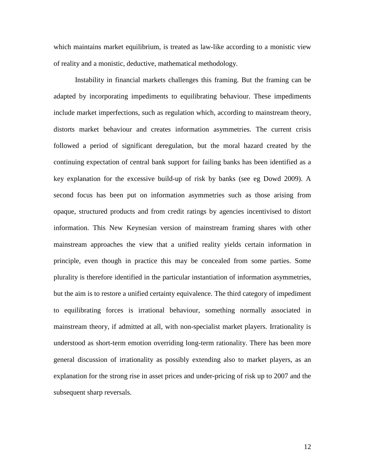which maintains market equilibrium, is treated as law-like according to a monistic view of reality and a monistic, deductive, mathematical methodology.

 Instability in financial markets challenges this framing. But the framing can be adapted by incorporating impediments to equilibrating behaviour. These impediments include market imperfections, such as regulation which, according to mainstream theory, distorts market behaviour and creates information asymmetries. The current crisis followed a period of significant deregulation, but the moral hazard created by the continuing expectation of central bank support for failing banks has been identified as a key explanation for the excessive build-up of risk by banks (see eg Dowd 2009). A second focus has been put on information asymmetries such as those arising from opaque, structured products and from credit ratings by agencies incentivised to distort information. This New Keynesian version of mainstream framing shares with other mainstream approaches the view that a unified reality yields certain information in principle, even though in practice this may be concealed from some parties. Some plurality is therefore identified in the particular instantiation of information asymmetries, but the aim is to restore a unified certainty equivalence. The third category of impediment to equilibrating forces is irrational behaviour, something normally associated in mainstream theory, if admitted at all, with non-specialist market players. Irrationality is understood as short-term emotion overriding long-term rationality. There has been more general discussion of irrationality as possibly extending also to market players, as an explanation for the strong rise in asset prices and under-pricing of risk up to 2007 and the subsequent sharp reversals.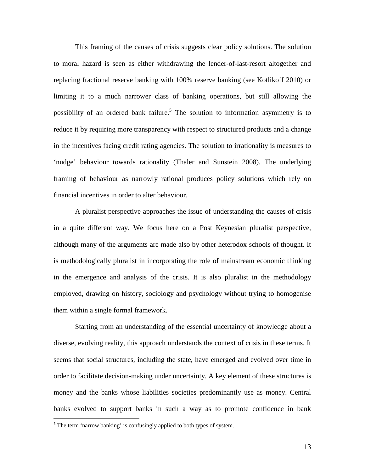This framing of the causes of crisis suggests clear policy solutions. The solution to moral hazard is seen as either withdrawing the lender-of-last-resort altogether and replacing fractional reserve banking with 100% reserve banking (see Kotlikoff 2010) or limiting it to a much narrower class of banking operations, but still allowing the possibility of an ordered bank failure.<sup>5</sup> The solution to information asymmetry is to reduce it by requiring more transparency with respect to structured products and a change in the incentives facing credit rating agencies. The solution to irrationality is measures to 'nudge' behaviour towards rationality (Thaler and Sunstein 2008). The underlying framing of behaviour as narrowly rational produces policy solutions which rely on financial incentives in order to alter behaviour.

 A pluralist perspective approaches the issue of understanding the causes of crisis in a quite different way. We focus here on a Post Keynesian pluralist perspective, although many of the arguments are made also by other heterodox schools of thought. It is methodologically pluralist in incorporating the role of mainstream economic thinking in the emergence and analysis of the crisis. It is also pluralist in the methodology employed, drawing on history, sociology and psychology without trying to homogenise them within a single formal framework.

 Starting from an understanding of the essential uncertainty of knowledge about a diverse, evolving reality, this approach understands the context of crisis in these terms. It seems that social structures, including the state, have emerged and evolved over time in order to facilitate decision-making under uncertainty. A key element of these structures is money and the banks whose liabilities societies predominantly use as money. Central banks evolved to support banks in such a way as to promote confidence in bank

 $\overline{a}$ 

<sup>&</sup>lt;sup>5</sup> The term 'narrow banking' is confusingly applied to both types of system.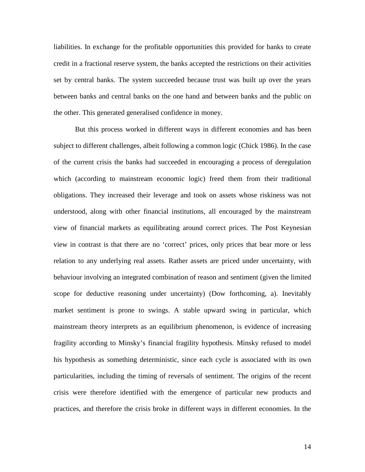liabilities. In exchange for the profitable opportunities this provided for banks to create credit in a fractional reserve system, the banks accepted the restrictions on their activities set by central banks. The system succeeded because trust was built up over the years between banks and central banks on the one hand and between banks and the public on the other. This generated generalised confidence in money.

 But this process worked in different ways in different economies and has been subject to different challenges, albeit following a common logic (Chick 1986). In the case of the current crisis the banks had succeeded in encouraging a process of deregulation which (according to mainstream economic logic) freed them from their traditional obligations. They increased their leverage and took on assets whose riskiness was not understood, along with other financial institutions, all encouraged by the mainstream view of financial markets as equilibrating around correct prices. The Post Keynesian view in contrast is that there are no 'correct' prices, only prices that bear more or less relation to any underlying real assets. Rather assets are priced under uncertainty, with behaviour involving an integrated combination of reason and sentiment (given the limited scope for deductive reasoning under uncertainty) (Dow forthcoming, a). Inevitably market sentiment is prone to swings. A stable upward swing in particular, which mainstream theory interprets as an equilibrium phenomenon, is evidence of increasing fragility according to Minsky's financial fragility hypothesis. Minsky refused to model his hypothesis as something deterministic, since each cycle is associated with its own particularities, including the timing of reversals of sentiment. The origins of the recent crisis were therefore identified with the emergence of particular new products and practices, and therefore the crisis broke in different ways in different economies. In the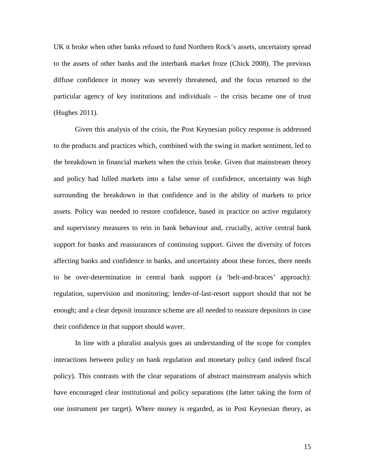UK it broke when other banks refused to fund Northern Rock's assets, uncertainty spread to the assets of other banks and the interbank market froze (Chick 2008). The previous diffuse confidence in money was severely threatened, and the focus returned to the particular agency of key institutions and individuals – the crisis became one of trust (Hughes 2011).

 Given this analysis of the crisis, the Post Keynesian policy response is addressed to the products and practices which, combined with the swing in market sentiment, led to the breakdown in financial markets when the crisis broke. Given that mainstream theory and policy had lulled markets into a false sense of confidence, uncertainty was high surrounding the breakdown in that confidence and in the ability of markets to price assets. Policy was needed to restore confidence, based in practice on active regulatory and supervisory measures to rein in bank behaviour and, crucially, active central bank support for banks and reassurances of continuing support. Given the diversity of forces affecting banks and confidence in banks, and uncertainty about these forces, there needs to be over-determination in central bank support (a 'belt-and-braces' approach): regulation, supervision and monitoring; lender-of-last-resort support should that not be enough; and a clear deposit insurance scheme are all needed to reassure depositors in case their confidence in that support should waver.

 In line with a pluralist analysis goes an understanding of the scope for complex interactions between policy on bank regulation and monetary policy (and indeed fiscal policy). This contrasts with the clear separations of abstract mainstream analysis which have encouraged clear institutional and policy separations (the latter taking the form of one instrument per target). Where money is regarded, as in Post Keynesian theory, as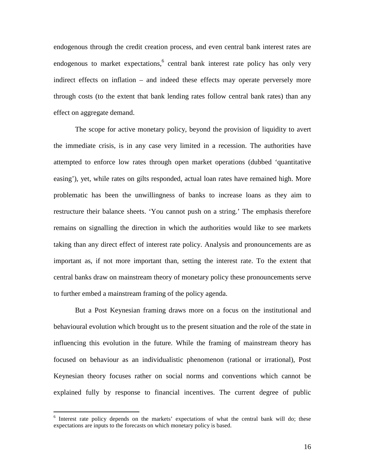endogenous through the credit creation process, and even central bank interest rates are endogenous to market expectations,<sup>6</sup> central bank interest rate policy has only very indirect effects on inflation – and indeed these effects may operate perversely more through costs (to the extent that bank lending rates follow central bank rates) than any effect on aggregate demand.

 The scope for active monetary policy, beyond the provision of liquidity to avert the immediate crisis, is in any case very limited in a recession. The authorities have attempted to enforce low rates through open market operations (dubbed 'quantitative easing'), yet, while rates on gilts responded, actual loan rates have remained high. More problematic has been the unwillingness of banks to increase loans as they aim to restructure their balance sheets. 'You cannot push on a string.' The emphasis therefore remains on signalling the direction in which the authorities would like to see markets taking than any direct effect of interest rate policy. Analysis and pronouncements are as important as, if not more important than, setting the interest rate. To the extent that central banks draw on mainstream theory of monetary policy these pronouncements serve to further embed a mainstream framing of the policy agenda.

 But a Post Keynesian framing draws more on a focus on the institutional and behavioural evolution which brought us to the present situation and the role of the state in influencing this evolution in the future. While the framing of mainstream theory has focused on behaviour as an individualistic phenomenon (rational or irrational), Post Keynesian theory focuses rather on social norms and conventions which cannot be explained fully by response to financial incentives. The current degree of public

<sup>&</sup>lt;sup>6</sup> Interest rate policy depends on the markets' expectations of what the central bank will do; these expectations are inputs to the forecasts on which monetary policy is based.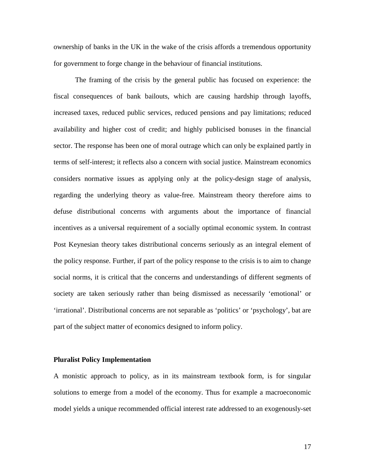ownership of banks in the UK in the wake of the crisis affords a tremendous opportunity for government to forge change in the behaviour of financial institutions.

 The framing of the crisis by the general public has focused on experience: the fiscal consequences of bank bailouts, which are causing hardship through layoffs, increased taxes, reduced public services, reduced pensions and pay limitations; reduced availability and higher cost of credit; and highly publicised bonuses in the financial sector. The response has been one of moral outrage which can only be explained partly in terms of self-interest; it reflects also a concern with social justice. Mainstream economics considers normative issues as applying only at the policy-design stage of analysis, regarding the underlying theory as value-free. Mainstream theory therefore aims to defuse distributional concerns with arguments about the importance of financial incentives as a universal requirement of a socially optimal economic system. In contrast Post Keynesian theory takes distributional concerns seriously as an integral element of the policy response. Further, if part of the policy response to the crisis is to aim to change social norms, it is critical that the concerns and understandings of different segments of society are taken seriously rather than being dismissed as necessarily 'emotional' or 'irrational'. Distributional concerns are not separable as 'politics' or 'psychology', bat are part of the subject matter of economics designed to inform policy.

## **Pluralist Policy Implementation**

A monistic approach to policy, as in its mainstream textbook form, is for singular solutions to emerge from a model of the economy. Thus for example a macroeconomic model yields a unique recommended official interest rate addressed to an exogenously-set

17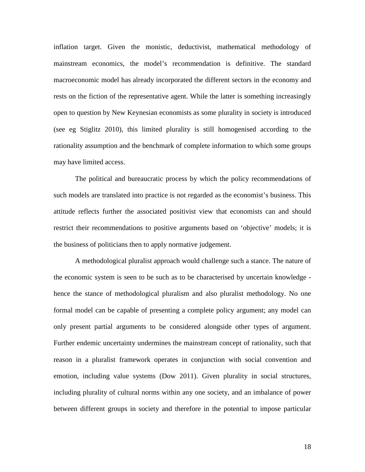inflation target. Given the monistic, deductivist, mathematical methodology of mainstream economics, the model's recommendation is definitive. The standard macroeconomic model has already incorporated the different sectors in the economy and rests on the fiction of the representative agent. While the latter is something increasingly open to question by New Keynesian economists as some plurality in society is introduced (see eg Stiglitz 2010), this limited plurality is still homogenised according to the rationality assumption and the benchmark of complete information to which some groups may have limited access.

 The political and bureaucratic process by which the policy recommendations of such models are translated into practice is not regarded as the economist's business. This attitude reflects further the associated positivist view that economists can and should restrict their recommendations to positive arguments based on 'objective' models; it is the business of politicians then to apply normative judgement.

 A methodological pluralist approach would challenge such a stance. The nature of the economic system is seen to be such as to be characterised by uncertain knowledge hence the stance of methodological pluralism and also pluralist methodology. No one formal model can be capable of presenting a complete policy argument; any model can only present partial arguments to be considered alongside other types of argument. Further endemic uncertainty undermines the mainstream concept of rationality, such that reason in a pluralist framework operates in conjunction with social convention and emotion, including value systems (Dow 2011). Given plurality in social structures, including plurality of cultural norms within any one society, and an imbalance of power between different groups in society and therefore in the potential to impose particular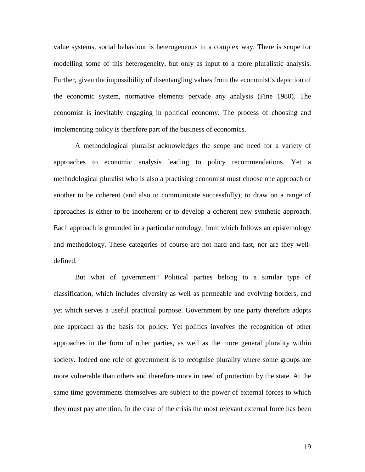value systems, social behaviour is heterogeneous in a complex way. There is scope for modelling some of this heterogeneity, but only as input to a more pluralistic analysis. Further, given the impossibility of disentangling values from the economist's depiction of the economic system, normative elements pervade any analysis (Fine 1980). The economist is inevitably engaging in political economy. The process of choosing and implementing policy is therefore part of the business of economics.

 A methodological pluralist acknowledges the scope and need for a variety of approaches to economic analysis leading to policy recommendations. Yet a methodological pluralist who is also a practising economist must choose one approach or another to be coherent (and also to communicate successfully); to draw on a range of approaches is either to be incoherent or to develop a coherent new synthetic approach. Each approach is grounded in a particular ontology, from which follows an epistemology and methodology. These categories of course are not hard and fast, nor are they welldefined.

 But what of government? Political parties belong to a similar type of classification, which includes diversity as well as permeable and evolving borders, and yet which serves a useful practical purpose. Government by one party therefore adopts one approach as the basis for policy. Yet politics involves the recognition of other approaches in the form of other parties, as well as the more general plurality within society. Indeed one role of government is to recognise plurality where some groups are more vulnerable than others and therefore more in need of protection by the state. At the same time governments themselves are subject to the power of external forces to which they must pay attention. In the case of the crisis the most relevant external force has been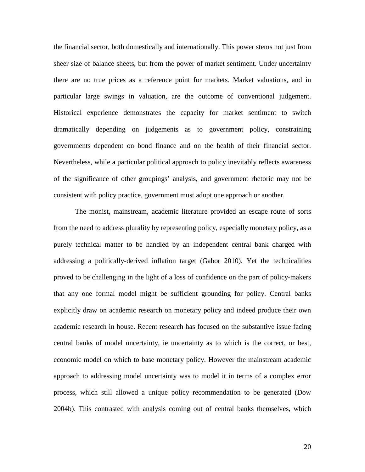the financial sector, both domestically and internationally. This power stems not just from sheer size of balance sheets, but from the power of market sentiment. Under uncertainty there are no true prices as a reference point for markets. Market valuations, and in particular large swings in valuation, are the outcome of conventional judgement. Historical experience demonstrates the capacity for market sentiment to switch dramatically depending on judgements as to government policy, constraining governments dependent on bond finance and on the health of their financial sector. Nevertheless, while a particular political approach to policy inevitably reflects awareness of the significance of other groupings' analysis, and government rhetoric may not be consistent with policy practice, government must adopt one approach or another.

 The monist, mainstream, academic literature provided an escape route of sorts from the need to address plurality by representing policy, especially monetary policy, as a purely technical matter to be handled by an independent central bank charged with addressing a politically-derived inflation target (Gabor 2010). Yet the technicalities proved to be challenging in the light of a loss of confidence on the part of policy-makers that any one formal model might be sufficient grounding for policy. Central banks explicitly draw on academic research on monetary policy and indeed produce their own academic research in house. Recent research has focused on the substantive issue facing central banks of model uncertainty, ie uncertainty as to which is the correct, or best, economic model on which to base monetary policy. However the mainstream academic approach to addressing model uncertainty was to model it in terms of a complex error process, which still allowed a unique policy recommendation to be generated (Dow 2004b). This contrasted with analysis coming out of central banks themselves, which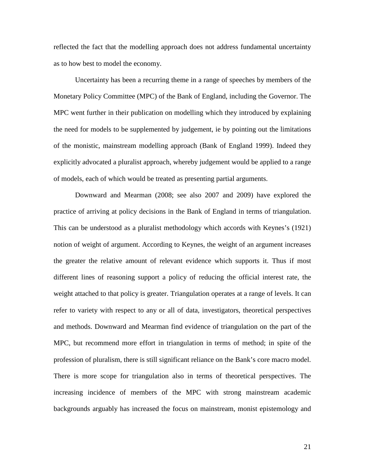reflected the fact that the modelling approach does not address fundamental uncertainty as to how best to model the economy.

 Uncertainty has been a recurring theme in a range of speeches by members of the Monetary Policy Committee (MPC) of the Bank of England, including the Governor. The MPC went further in their publication on modelling which they introduced by explaining the need for models to be supplemented by judgement, ie by pointing out the limitations of the monistic, mainstream modelling approach (Bank of England 1999). Indeed they explicitly advocated a pluralist approach, whereby judgement would be applied to a range of models, each of which would be treated as presenting partial arguments.

 Downward and Mearman (2008; see also 2007 and 2009) have explored the practice of arriving at policy decisions in the Bank of England in terms of triangulation. This can be understood as a pluralist methodology which accords with Keynes's (1921) notion of weight of argument. According to Keynes, the weight of an argument increases the greater the relative amount of relevant evidence which supports it. Thus if most different lines of reasoning support a policy of reducing the official interest rate, the weight attached to that policy is greater. Triangulation operates at a range of levels. It can refer to variety with respect to any or all of data, investigators, theoretical perspectives and methods. Downward and Mearman find evidence of triangulation on the part of the MPC, but recommend more effort in triangulation in terms of method; in spite of the profession of pluralism, there is still significant reliance on the Bank's core macro model. There is more scope for triangulation also in terms of theoretical perspectives. The increasing incidence of members of the MPC with strong mainstream academic backgrounds arguably has increased the focus on mainstream, monist epistemology and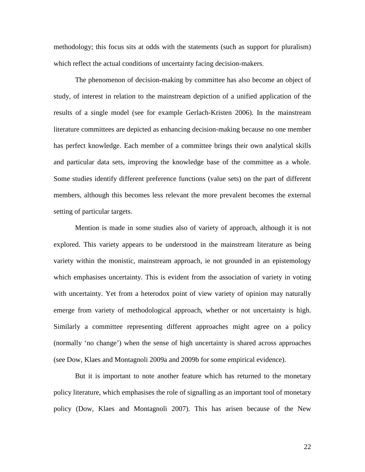methodology; this focus sits at odds with the statements (such as support for pluralism) which reflect the actual conditions of uncertainty facing decision-makers.

 The phenomenon of decision-making by committee has also become an object of study, of interest in relation to the mainstream depiction of a unified application of the results of a single model (see for example Gerlach-Kristen 2006). In the mainstream literature committees are depicted as enhancing decision-making because no one member has perfect knowledge. Each member of a committee brings their own analytical skills and particular data sets, improving the knowledge base of the committee as a whole. Some studies identify different preference functions (value sets) on the part of different members, although this becomes less relevant the more prevalent becomes the external setting of particular targets.

 Mention is made in some studies also of variety of approach, although it is not explored. This variety appears to be understood in the mainstream literature as being variety within the monistic, mainstream approach, ie not grounded in an epistemology which emphasises uncertainty. This is evident from the association of variety in voting with uncertainty. Yet from a heterodox point of view variety of opinion may naturally emerge from variety of methodological approach, whether or not uncertainty is high. Similarly a committee representing different approaches might agree on a policy (normally 'no change') when the sense of high uncertainty is shared across approaches (see Dow, Klaes and Montagnoli 2009a and 2009b for some empirical evidence).

 But it is important to note another feature which has returned to the monetary policy literature, which emphasises the role of signalling as an important tool of monetary policy (Dow, Klaes and Montagnoli 2007). This has arisen because of the New

22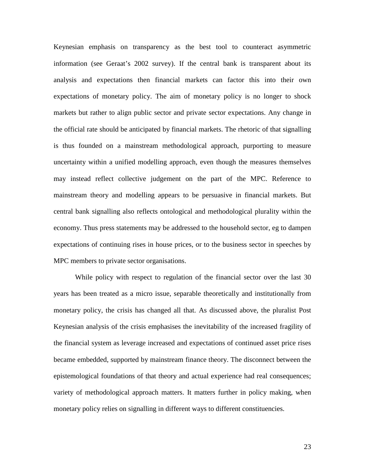Keynesian emphasis on transparency as the best tool to counteract asymmetric information (see Geraat's 2002 survey). If the central bank is transparent about its analysis and expectations then financial markets can factor this into their own expectations of monetary policy. The aim of monetary policy is no longer to shock markets but rather to align public sector and private sector expectations. Any change in the official rate should be anticipated by financial markets. The rhetoric of that signalling is thus founded on a mainstream methodological approach, purporting to measure uncertainty within a unified modelling approach, even though the measures themselves may instead reflect collective judgement on the part of the MPC. Reference to mainstream theory and modelling appears to be persuasive in financial markets. But central bank signalling also reflects ontological and methodological plurality within the economy. Thus press statements may be addressed to the household sector, eg to dampen expectations of continuing rises in house prices, or to the business sector in speeches by MPC members to private sector organisations.

 While policy with respect to regulation of the financial sector over the last 30 years has been treated as a micro issue, separable theoretically and institutionally from monetary policy, the crisis has changed all that. As discussed above, the pluralist Post Keynesian analysis of the crisis emphasises the inevitability of the increased fragility of the financial system as leverage increased and expectations of continued asset price rises became embedded, supported by mainstream finance theory. The disconnect between the epistemological foundations of that theory and actual experience had real consequences; variety of methodological approach matters. It matters further in policy making, when monetary policy relies on signalling in different ways to different constituencies.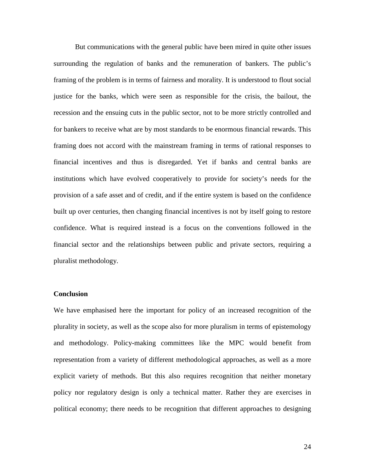But communications with the general public have been mired in quite other issues surrounding the regulation of banks and the remuneration of bankers. The public's framing of the problem is in terms of fairness and morality. It is understood to flout social justice for the banks, which were seen as responsible for the crisis, the bailout, the recession and the ensuing cuts in the public sector, not to be more strictly controlled and for bankers to receive what are by most standards to be enormous financial rewards. This framing does not accord with the mainstream framing in terms of rational responses to financial incentives and thus is disregarded. Yet if banks and central banks are institutions which have evolved cooperatively to provide for society's needs for the provision of a safe asset and of credit, and if the entire system is based on the confidence built up over centuries, then changing financial incentives is not by itself going to restore confidence. What is required instead is a focus on the conventions followed in the financial sector and the relationships between public and private sectors, requiring a pluralist methodology.

### **Conclusion**

We have emphasised here the important for policy of an increased recognition of the plurality in society, as well as the scope also for more pluralism in terms of epistemology and methodology. Policy-making committees like the MPC would benefit from representation from a variety of different methodological approaches, as well as a more explicit variety of methods. But this also requires recognition that neither monetary policy nor regulatory design is only a technical matter. Rather they are exercises in political economy; there needs to be recognition that different approaches to designing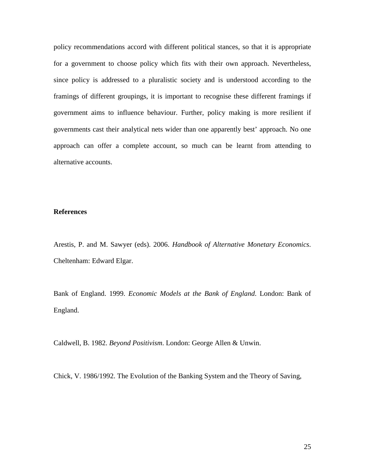policy recommendations accord with different political stances, so that it is appropriate for a government to choose policy which fits with their own approach. Nevertheless, since policy is addressed to a pluralistic society and is understood according to the framings of different groupings, it is important to recognise these different framings if government aims to influence behaviour. Further, policy making is more resilient if governments cast their analytical nets wider than one apparently best' approach. No one approach can offer a complete account, so much can be learnt from attending to alternative accounts.

### **References**

Arestis, P. and M. Sawyer (eds). 2006. *Handbook of Alternative Monetary Economics*. Cheltenham: Edward Elgar.

Bank of England. 1999. *Economic Models at the Bank of England*. London: Bank of England.

Caldwell, B. 1982. *Beyond Positivism*. London: George Allen & Unwin.

Chick, V. 1986/1992. The Evolution of the Banking System and the Theory of Saving,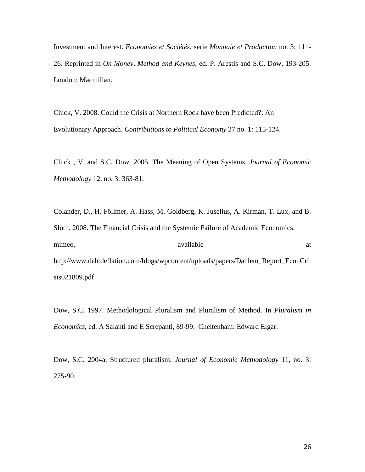Investment and Interest. *Economies et Sociétés,* serie *Monnaie et Production* no. 3: 111- 26. Reprinted in *On Money, Method and Keynes,* ed. P. Arestis and S.C. Dow, 193-205. London: Macmillan.

Chick, V. 2008. Could the Crisis at Northern Rock have been Predicted?: An Evolutionary Approach. *Contributions to Political Economy* 27 no. 1: 115-124.

Chick , V. and S.C. Dow. 2005. The Meaning of Open Systems. *Journal of Economic Methodology* 12, no. 3: 363-81.

Colander, D., H. Föllmer, A. Hass, M. Goldberg, K. Juselius, A. Kirman, T. Lux, and B. Sloth. 2008. The Financial Crisis and the Systemic Failure of Academic Economics. mimeo, available at a contract and a contract a contract and a contract a contract and a contract a contract at a contract a contract and a contract a contract a contract a contract and a contract a contract a contract and http://www.debtdeflation.com/blogs/wpcontent/uploads/papers/Dahlem\_Report\_EconCri sis021809.pdf

Dow, S.C. 1997. Methodological Pluralism and Pluralism of Method. In *Pluralism in Economics*, ed. A Salanti and E Screpanti, 89-99. Cheltenham: Edward Elgar.

Dow, S.C. 2004a. Structured pluralism. *Journal of Economic Methodology* 11, no. 3: 275-90.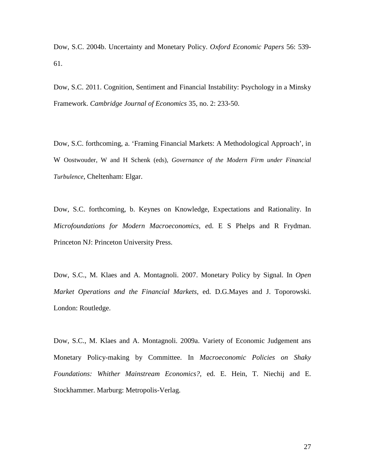Dow, S.C. 2004b. Uncertainty and Monetary Policy. *Oxford Economic Papers* 56: 539- 61.

Dow, S.C. 2011. Cognition, Sentiment and Financial Instability: Psychology in a Minsky Framework. *Cambridge Journal of Economics* 35, no. 2: 233-50.

Dow, S.C. forthcoming, a. 'Framing Financial Markets: A Methodological Approach', in W Oostwouder, W and H Schenk (eds), *Governance of the Modern Firm under Financial Turbulence*, Cheltenham: Elgar.

Dow, S.C. forthcoming, b. Keynes on Knowledge, Expectations and Rationality. In *Microfoundations for Modern Macroeconomics, e*d. E S Phelps and R Frydman. Princeton NJ: Princeton University Press.

Dow, S.C., M. Klaes and A. Montagnoli. 2007. Monetary Policy by Signal. In *Open Market Operations and the Financial Markets*, ed. D.G.Mayes and J. Toporowski. London: Routledge.

Dow, S.C., M. Klaes and A. Montagnoli. 2009a. Variety of Economic Judgement ans Monetary Policy-making by Committee. In *Macroeconomic Policies on Shaky Foundations: Whither Mainstream Economics?,* ed. E. Hein, T. Niechij and E. Stockhammer. Marburg: Metropolis-Verlag.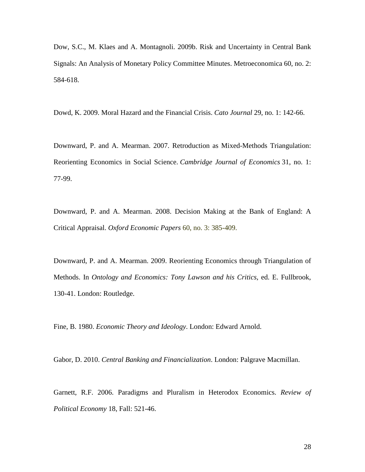Dow, S.C., M. Klaes and A. Montagnoli. 2009b. Risk and Uncertainty in Central Bank Signals: An Analysis of Monetary Policy Committee Minutes. Metroeconomica 60, no. 2: 584-618.

Dowd, K. 2009. Moral Hazard and the Financial Crisis. *Cato Journal* 29, no. 1: 142-66.

Downward, P. and A. Mearman. 2007. Retroduction as Mixed-Methods Triangulation: Reorienting Economics in Social Science. *Cambridge Journal of Economics* 31, no. 1: 77-99.

Downward, P. and A. Mearman. 2008. Decision Making at the Bank of England: A Critical Appraisal. *Oxford Economic Papers* 60, no. 3: 385-409.

Downward, P. and A. Mearman. 2009. Reorienting Economics through Triangulation of Methods. In *Ontology and Economics: Tony Lawson and his Critics*, ed. E. Fullbrook, 130-41. London: Routledge.

Fine, B. 1980. *Economic Theory and Ideology*. London: Edward Arnold.

Gabor, D. 2010. *Central Banking and Financialization*. London: Palgrave Macmillan.

Garnett, R.F. 2006. Paradigms and Pluralism in Heterodox Economics. *Review of Political Economy* 18, Fall: 521-46.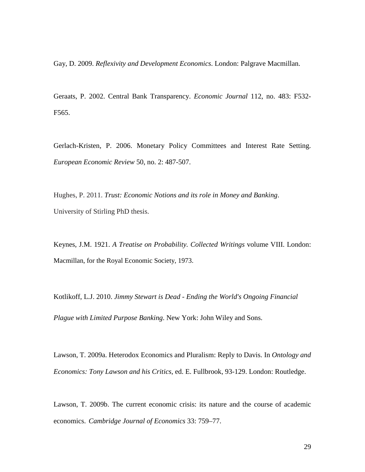Gay, D. 2009. *Reflexivity and Development Economics*. London: Palgrave Macmillan.

Geraats, P. 2002. Central Bank Transparency. *Economic Journal* 112, no. 483: F532- F565.

Gerlach-Kristen, P. 2006. Monetary Policy Committees and Interest Rate Setting. *European Economic Review* 50, no. 2: 487-507.

Hughes, P. 2011. *Trust: Economic Notions and its role in Money and Banking*. University of Stirling PhD thesis.

Keynes, J.M. 1921. *A Treatise on Probability. Collected Writings* volume VIII. London: Macmillan, for the Royal Economic Society, 1973.

Kotlikoff, L.J. 2010. *Jimmy Stewart is Dead - Ending the World's Ongoing Financial Plague with Limited Purpose Banking*. New York: John Wiley and Sons.

Lawson, T. 2009a. Heterodox Economics and Pluralism: Reply to Davis. In *Ontology and Economics: Tony Lawson and his Critics*, ed. E. Fullbrook, 93-129. London: Routledge.

Lawson, T. 2009b. The current economic crisis: its nature and the course of academic economics. *Cambridge Journal of Economics* 33: 759–77.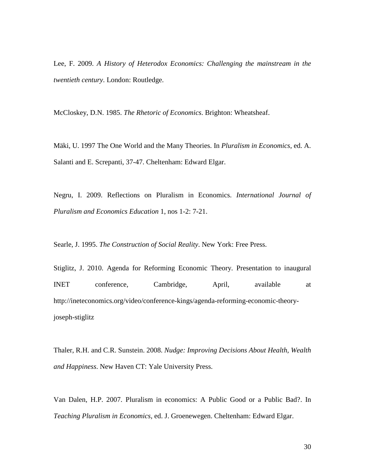Lee, F. 2009. *A History of Heterodox Economics: Challenging the mainstream in the twentieth century*. London: Routledge.

McCloskey, D.N. 1985. *The Rhetoric of Economics*. Brighton: Wheatsheaf.

Mäki, U. 1997 The One World and the Many Theories. In *Pluralism in Economics*, ed. A. Salanti and E. Screpanti, 37-47. Cheltenham: Edward Elgar.

Negru, I. 2009. Reflections on Pluralism in Economics. *International Journal of Pluralism and Economics Education* 1, nos 1-2: 7-21.

Searle, J. 1995. *The Construction of Social Reality*. New York: Free Press.

Stiglitz, J. 2010. Agenda for Reforming Economic Theory. Presentation to inaugural INET conference, Cambridge, April, available at http://ineteconomics.org/video/conference-kings/agenda-reforming-economic-theoryjoseph-stiglitz

Thaler, R.H. and C.R. Sunstein. 2008. *Nudge: Improving Decisions About Health, Wealth and Happiness*. New Haven CT: Yale University Press.

Van Dalen, H.P. 2007. Pluralism in economics: A Public Good or a Public Bad?. In *Teaching Pluralism in Economics*, ed. J. Groenewegen. Cheltenham: Edward Elgar.

30